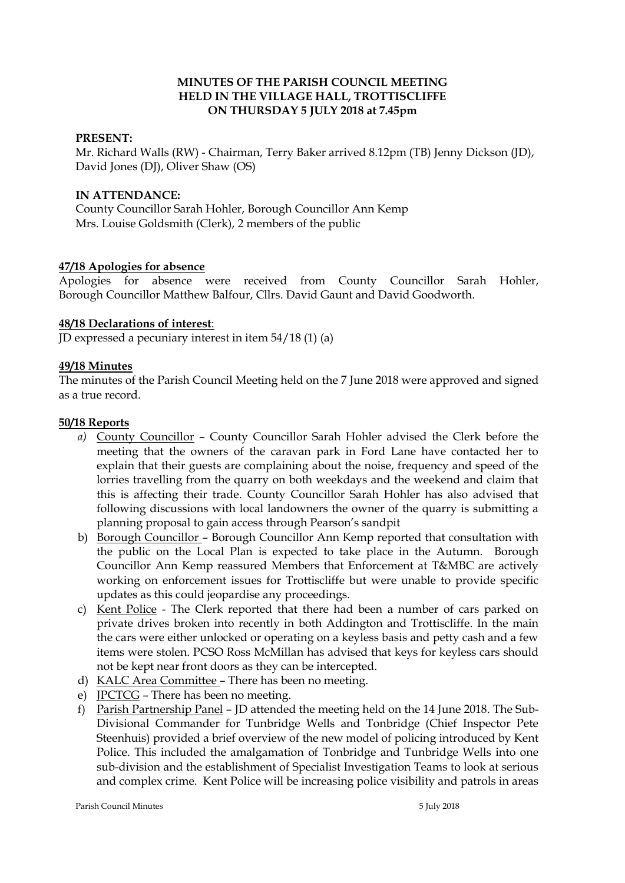## **MINUTES OF THE PARISH COUNCIL MEETING HELD IN THE VILLAGE HALL, TROTTISCLIFFE ON THURSDAY 5 JULY 2018 at 7.45pm**

### **PRESENT:**

Mr. Richard Walls (RW) - Chairman, Terry Baker arrived 8.12pm (TB) Jenny Dickson (JD), David Jones (DJ), Oliver Shaw (OS)

### **IN ATTENDANCE:**

County Councillor Sarah Hohler, Borough Councillor Ann Kemp Mrs. Louise Goldsmith (Clerk), 2 members of the public

### **47/18 Apologies for absence**

Apologies for absence were received from County Councillor Sarah Hohler, Borough Councillor Matthew Balfour, Cllrs. David Gaunt and David Goodworth.

### **48/18 Declarations of interest**:

 $\overline{ID}$  expressed a pecuniary interest in item 54/18 (1) (a)

### **49/18 Minutes**

The minutes of the Parish Council Meeting held on the 7 June 2018 were approved and signed as a true record.

#### **50/18 Reports**

- *a)* County Councillor County Councillor Sarah Hohler advised the Clerk before the meeting that the owners of the caravan park in Ford Lane have contacted her to explain that their guests are complaining about the noise, frequency and speed of the lorries travelling from the quarry on both weekdays and the weekend and claim that this is affecting their trade. County Councillor Sarah Hohler has also advised that following discussions with local landowners the owner of the quarry is submitting a planning proposal to gain access through Pearson's sandpit
- b) Borough Councillor Borough Councillor Ann Kemp reported that consultation with the public on the Local Plan is expected to take place in the Autumn. Borough Councillor Ann Kemp reassured Members that Enforcement at T&MBC are actively working on enforcement issues for Trottiscliffe but were unable to provide specific updates as this could jeopardise any proceedings.
- c) Kent Police The Clerk reported that there had been a number of cars parked on private drives broken into recently in both Addington and Trottiscliffe. In the main the cars were either unlocked or operating on a keyless basis and petty cash and a few items were stolen. PCSO Ross McMillan has advised that keys for keyless cars should not be kept near front doors as they can be intercepted.
- d) KALC Area Committee There has been no meeting.
- e) JPCTCG There has been no meeting.
- f) Parish Partnership Panel JD attended the meeting held on the 14 June 2018. The Sub-Divisional Commander for Tunbridge Wells and Tonbridge (Chief Inspector Pete Steenhuis) provided a brief overview of the new model of policing introduced by Kent Police. This included the amalgamation of Tonbridge and Tunbridge Wells into one sub-division and the establishment of Specialist Investigation Teams to look at serious and complex crime. Kent Police will be increasing police visibility and patrols in areas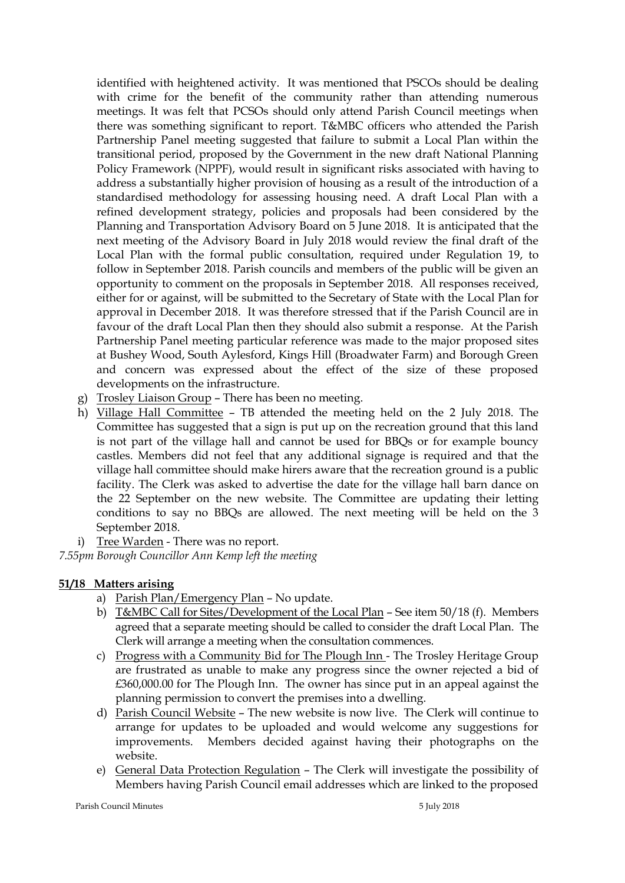identified with heightened activity. It was mentioned that PSCOs should be dealing with crime for the benefit of the community rather than attending numerous meetings. It was felt that PCSOs should only attend Parish Council meetings when there was something significant to report. T&MBC officers who attended the Parish Partnership Panel meeting suggested that failure to submit a Local Plan within the transitional period, proposed by the Government in the new draft National Planning Policy Framework (NPPF), would result in significant risks associated with having to address a substantially higher provision of housing as a result of the introduction of a standardised methodology for assessing housing need. A draft Local Plan with a refined development strategy, policies and proposals had been considered by the Planning and Transportation Advisory Board on 5 June 2018. It is anticipated that the next meeting of the Advisory Board in July 2018 would review the final draft of the Local Plan with the formal public consultation, required under Regulation 19, to follow in September 2018. Parish councils and members of the public will be given an opportunity to comment on the proposals in September 2018. All responses received, either for or against, will be submitted to the Secretary of State with the Local Plan for approval in December 2018. It was therefore stressed that if the Parish Council are in favour of the draft Local Plan then they should also submit a response. At the Parish Partnership Panel meeting particular reference was made to the major proposed sites at Bushey Wood, South Aylesford, Kings Hill (Broadwater Farm) and Borough Green and concern was expressed about the effect of the size of these proposed developments on the infrastructure.

- g) Trosley Liaison Group There has been no meeting.
- h) Village Hall Committee TB attended the meeting held on the 2 July 2018. The Committee has suggested that a sign is put up on the recreation ground that this land is not part of the village hall and cannot be used for BBQs or for example bouncy castles. Members did not feel that any additional signage is required and that the village hall committee should make hirers aware that the recreation ground is a public facility. The Clerk was asked to advertise the date for the village hall barn dance on the 22 September on the new website. The Committee are updating their letting conditions to say no BBQs are allowed. The next meeting will be held on the 3 September 2018.
- i) Tree Warden There was no report.

*7.55pm Borough Councillor Ann Kemp left the meeting*

# **51/18 Matters arising**

- a) Parish Plan/Emergency Plan No update.
- b) T&MBC Call for Sites/Development of the Local Plan See item 50/18 (f). Members agreed that a separate meeting should be called to consider the draft Local Plan. The Clerk will arrange a meeting when the consultation commences.
- c) Progress with a Community Bid for The Plough Inn The Trosley Heritage Group are frustrated as unable to make any progress since the owner rejected a bid of £360,000.00 for The Plough Inn. The owner has since put in an appeal against the planning permission to convert the premises into a dwelling.
- d) Parish Council Website The new website is now live. The Clerk will continue to arrange for updates to be uploaded and would welcome any suggestions for improvements. Members decided against having their photographs on the website.
- e) General Data Protection Regulation The Clerk will investigate the possibility of Members having Parish Council email addresses which are linked to the proposed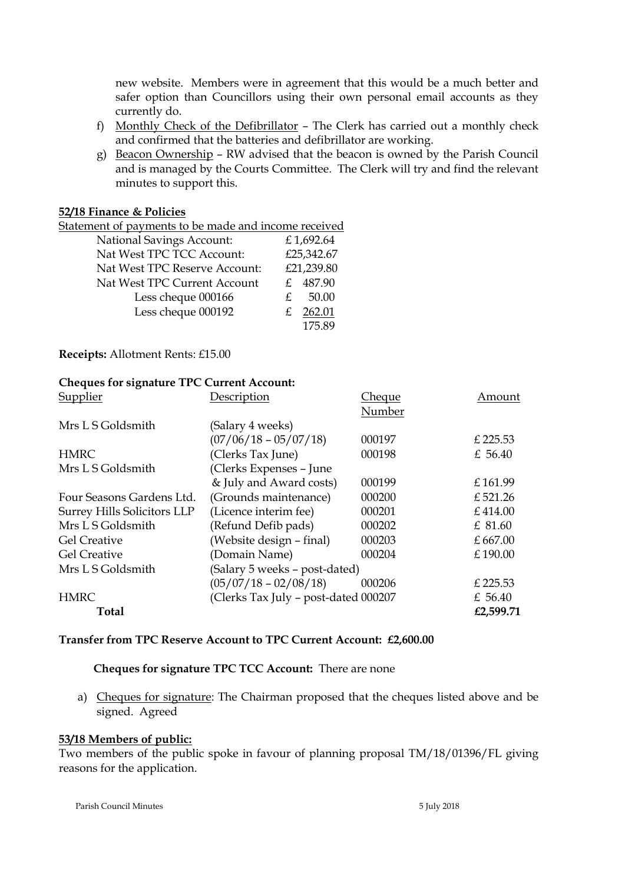new website. Members were in agreement that this would be a much better and safer option than Councillors using their own personal email accounts as they currently do.

- f) Monthly Check of the Defibrillator The Clerk has carried out a monthly check and confirmed that the batteries and defibrillator are working.
- g) Beacon Ownership RW advised that the beacon is owned by the Parish Council and is managed by the Courts Committee. The Clerk will try and find the relevant minutes to support this.

#### **52/18 Finance & Policies**

| Statement of payments to be made and income received |           |            |
|------------------------------------------------------|-----------|------------|
| <b>National Savings Account:</b>                     | £1,692.64 |            |
| Nat West TPC TCC Account:                            |           | £25,342.67 |
| Nat West TPC Reserve Account:                        |           | £21,239.80 |
| Nat West TPC Current Account                         |           | £ 487.90   |
| Less cheque 000166                                   | £         | 50.00      |
| Less cheque 000192                                   |           | 262.01     |
|                                                      |           | 17589      |

**Receipts:** Allotment Rents: £15.00

### **Cheques for signature TPC Current Account:**

| Supplier                    | Description                          | Cheque | Amount     |
|-----------------------------|--------------------------------------|--------|------------|
|                             |                                      | Number |            |
| Mrs L S Goldsmith           | (Salary 4 weeks)                     |        |            |
|                             | $(07/06/18 - 05/07/18)$              | 000197 | £225.53    |
| HMRC                        | (Clerks Tax June)                    | 000198 | £ 56.40    |
| Mrs L S Goldsmith           | (Clerks Expenses - June              |        |            |
|                             | & July and Award costs)              | 000199 | £161.99    |
| Four Seasons Gardens Ltd.   | (Grounds maintenance)                | 000200 | £521.26    |
| Surrey Hills Solicitors LLP | (Licence interim fee)                | 000201 | £414.00    |
| Mrs L S Goldsmith           | (Refund Defib pads)                  | 000202 | £ 81.60    |
| <b>Gel Creative</b>         | (Website design - final)             | 000203 | £ $667.00$ |
| <b>Gel Creative</b>         | (Domain Name)                        | 000204 | £190.00    |
| Mrs L S Goldsmith           | (Salary 5 weeks - post-dated)        |        |            |
|                             | $(05/07/18 - 02/08/18)$              | 000206 | £ 225.53   |
| <b>HMRC</b>                 | (Clerks Tax July - post-dated 000207 |        | £ 56.40    |
| Total                       |                                      |        | £2,599.71  |

#### **Transfer from TPC Reserve Account to TPC Current Account: £2,600.00**

## **Cheques for signature TPC TCC Account:** There are none

a) Cheques for signature: The Chairman proposed that the cheques listed above and be signed. Agreed

#### **53/18 Members of public:**

Two members of the public spoke in favour of planning proposal TM/18/01396/FL giving reasons for the application.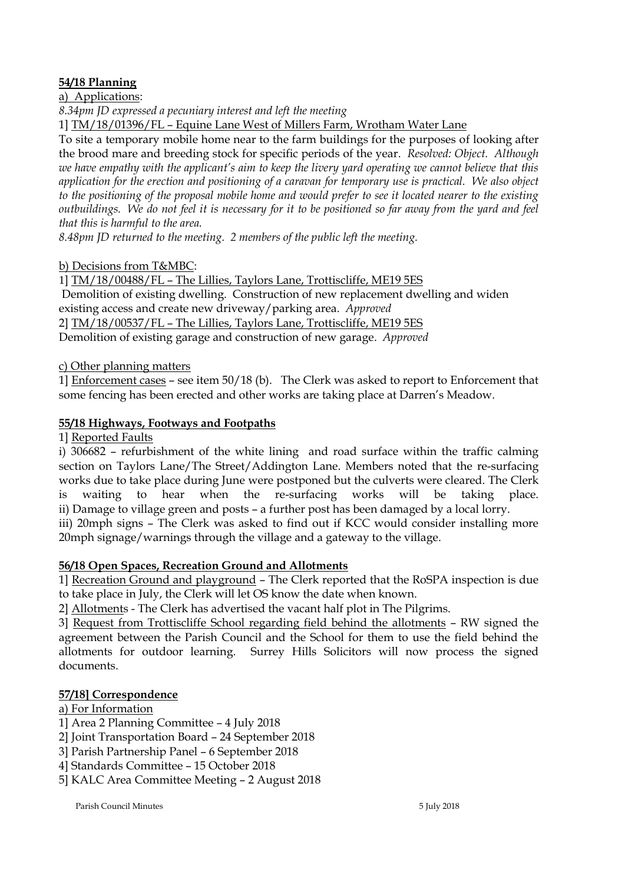# **54/18 Planning**

a) Applications:

*8.34pm JD expressed a pecuniary interest and left the meeting*

1] TM/18/01396/FL – Equine Lane West of Millers Farm, Wrotham Water Lane

To site a temporary mobile home near to the farm buildings for the purposes of looking after the brood mare and breeding stock for specific periods of the year. *Resolved: Object. Although we have empathy with the applicant's aim to keep the livery yard operating we cannot believe that this application for the erection and positioning of a caravan for temporary use is practical. We also object to the positioning of the proposal mobile home and would prefer to see it located nearer to the existing outbuildings. We do not feel it is necessary for it to be positioned so far away from the yard and feel that this is harmful to the area.* 

*8.48pm JD returned to the meeting. 2 members of the public left the meeting.*

# b) Decisions from T&MBC:

1] TM/18/00488/FL – The Lillies, Taylors Lane, Trottiscliffe, ME19 5ES Demolition of existing dwelling. Construction of new replacement dwelling and widen existing access and create new driveway/parking area. *Approved* 2] TM/18/00537/FL – The Lillies, Taylors Lane, Trottiscliffe, ME19 5ES Demolition of existing garage and construction of new garage. *Approved*

# c) Other planning matters

1] Enforcement cases – see item 50/18 (b). The Clerk was asked to report to Enforcement that some fencing has been erected and other works are taking place at Darren's Meadow.

# **55/18 Highways, Footways and Footpaths**

1] Reported Faults

i) 306682 – refurbishment of the white lining and road surface within the traffic calming section on Taylors Lane/The Street/Addington Lane. Members noted that the re-surfacing works due to take place during June were postponed but the culverts were cleared. The Clerk is waiting to hear when the re-surfacing works will be taking place. ii) Damage to village green and posts – a further post has been damaged by a local lorry.

iii) 20mph signs – The Clerk was asked to find out if KCC would consider installing more 20mph signage/warnings through the village and a gateway to the village.

## **56/18 Open Spaces, Recreation Ground and Allotments**

1] Recreation Ground and playground – The Clerk reported that the RoSPA inspection is due to take place in July, the Clerk will let OS know the date when known.

2] Allotments - The Clerk has advertised the vacant half plot in The Pilgrims.

3] Request from Trottiscliffe School regarding field behind the allotments – RW signed the agreement between the Parish Council and the School for them to use the field behind the allotments for outdoor learning. Surrey Hills Solicitors will now process the signed documents.

## **57/18] Correspondence**

a) For Information

1] Area 2 Planning Committee – 4 July 2018

2] Joint Transportation Board – 24 September 2018

- 3] Parish Partnership Panel 6 September 2018
- 4] Standards Committee 15 October 2018

5] KALC Area Committee Meeting – 2 August 2018